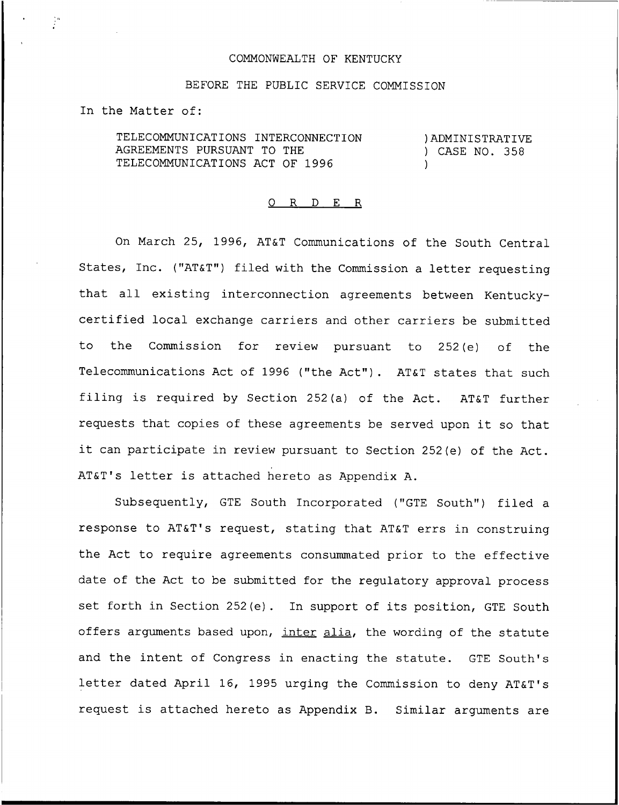### COMMONWEALTH OF KENTUCKY

### BEFORE THE PUBLIC SERVICE COMMISSION

In the Matter of:

TELECOMMUNICATIONS INTERCONNECTION AGREEMENTS PURSUANT TO THE TELECOMMUNICATIONS ACT OF 1996

)ADMINISTRATIVE ) CASE NO. 358 )

#### 0 R <sup>D</sup> E R

On March 25, 1996, AT&T Communications of the South Central States, Inc. ("AT&T") filed with the Commission a letter requesting that all existing interconnection agreements between Kentuckycertified local exchange carriers and other carriers be submitted to the Commission for review pursuant to 252(e) of the Telecommunications Act of 1996 ("the Act"). AT&T states that such filing is required by Section 252(a) of the Act. AT&T further requests that copies of these agreements be served upon it so that it can participate in review pursuant to Section 252(e) of the Act. AT&T's letter is attached hereto as Appendix A.

Subsequently, GTE South Incorporated ("GTE South") filed a response to AT&T's request, stating that AT&T errs in construing the Act to require agreements consummated prior to the effective date of the Act to be submitted for the regulatory approval process set forth in Section 252(e). In support of its position, GTE South offers arguments based upon, inter alia, the wording of the statute and the intent of Congress in enacting the statute. GTE South's letter dated April 16, 1995 urging the Commission to deny AT&T's request. is attached hereto as Appendix B. Similar arguments are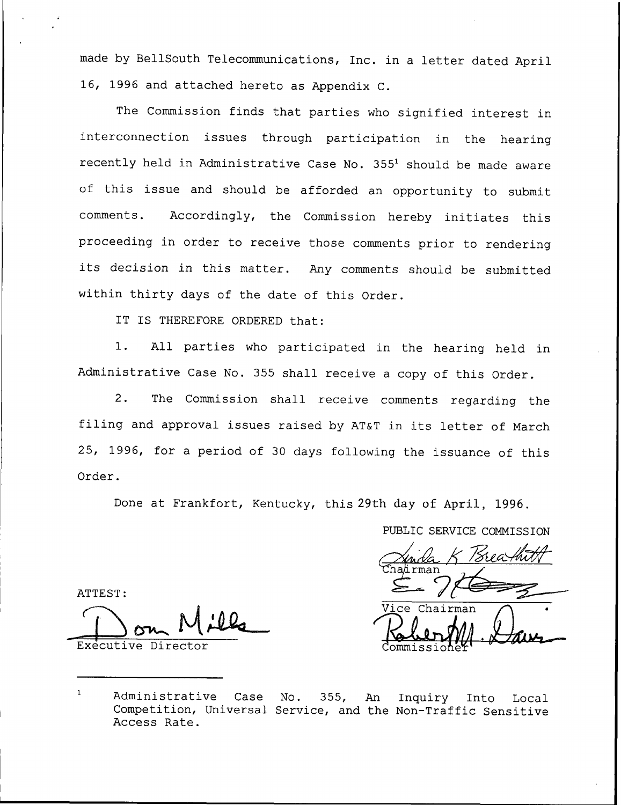made by BellSouth Telecommunications, Inc. in a letter dated April 16, 1996 and attached hereto as Appendix C.

The Commission finds that parties who signified interest in interconnection issues through participation in the hearing recently held in Administrative Case No. 355<sup>1</sup> should be made aware of this issue and should be afforded an opportunity to submit comments. Accordingly, the Commission hereby initiates this proceeding in order to receive those comments prior to rendering its decision in this matter. Any comments should be submitted within thirty days of the date of this Order.

IT IS THEREFORE ORDERED that:

1. All parties who participated in the hearing held in Administrative Case No. 355 shall receive a copy of this Order.

2. The Commission shall receive comments regarding the filing and approval issues raised by AT&T in its letter of March 25, 1996, for <sup>a</sup> period of 30 days following the issuance of this Order.

Done at Frankfort, Kentucky, this 29th day of April, 1996.

ATTEST:

Executive Director

PUBLIC SERVICE COMMISSION ma Vice Chairman

 $\mathbf{1}$ Administrative Case No. 355, An Inquiry Into Local Competition, Universal Service, and the Non-Traffic Sensitiv Access Rate.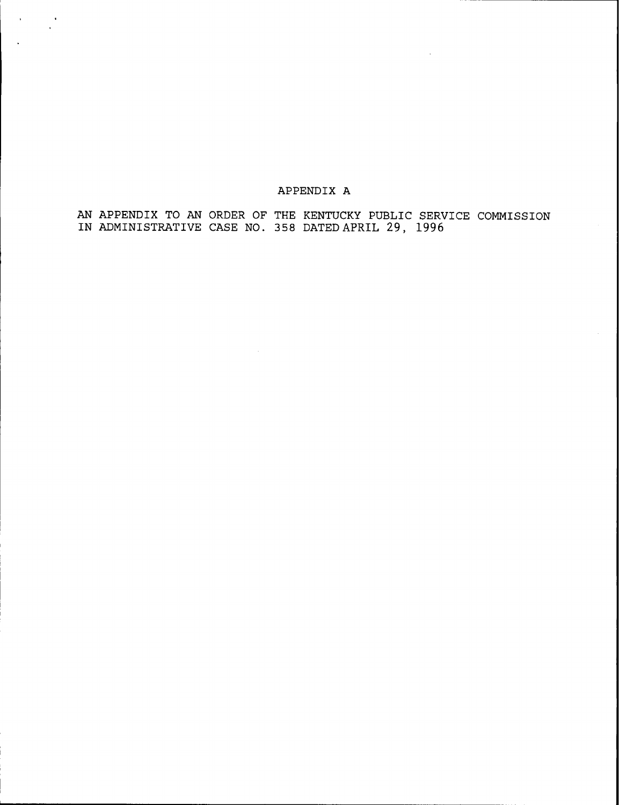## APPENDIX A

 $\frac{1}{2}$ 

 $\ddot{\phantom{1}}$ 

AN APPENDIX TO AN ORDER OF THE KENTUCKY PUBLIC SERVICE COMMISSION IN ADMINISTRATIVE CASE NO. 358 DATED APRIL 29, 1996

 $\sim$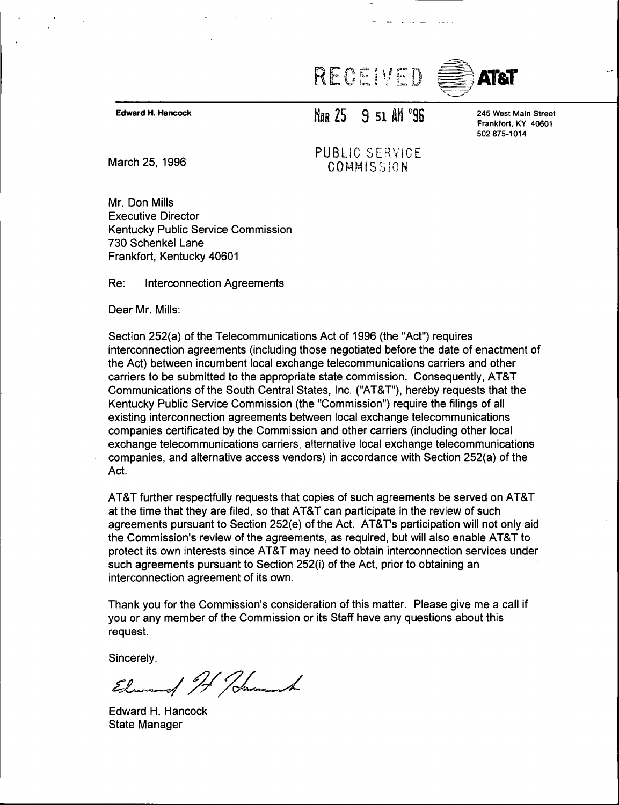# RECEIVED



Edward H. Hancock

# MAR 25 9 51 AM '96

245 West Main Street Frankfort, KY 40601 502 875-1014

March 25, 1996 PUBLIC SERVICE COMMISSION

Mr. Don Mills Executive Director Kentucky Public Service Commission 730 Schenkel Lane Frankfort, Kentucky 40601

Re: Interconnection Agreements

Dear Mr. Mills:

Section 252(a) of the Telecommunications Act of 1996 (the "Act") requires interconnection agreements (including those negotiated before the date of enactment of the Act) between incumbent local exchange telecommunications carriers and other carriers to be submitted to the appropriate state commission. Consequently, AT8T Communications of the South Central States, Inc. ("AT&T"), hereby requests that the Kentucky Public Service Commission (the "Commission") require the filings of al existing interconnection agreements between local exchange telecommunications companies certificated by the Commission and other carriers (including other local exchange telecommunications carriers, alternative local exchange telecommunications companies, and alternative access vendors) in accordance with Section 252(a) of the Act.

AT8T further respectfully requests that copies of such agreements be served on AT8T at the time that they are filed, so that AT8T can participate in the review of such agreements pursuant to Section 252(e) of the Act. AT8T's participation will not only aid the Commission's review of the agreements, as required, but will also enable AT&T to protect its own interests since AT8T may need to obtain interconnection services under such agreements pursuant to Section 252(i) of the Act, prior to obtaining an interconnection agreement of its own.

Thank you for the Commission's consideration of this matter. Please give me a call if you or any member of the Commission or its Staff have any questions about this request.

Sincerely,

Element It Hamand

Edward H. Hancock State Manager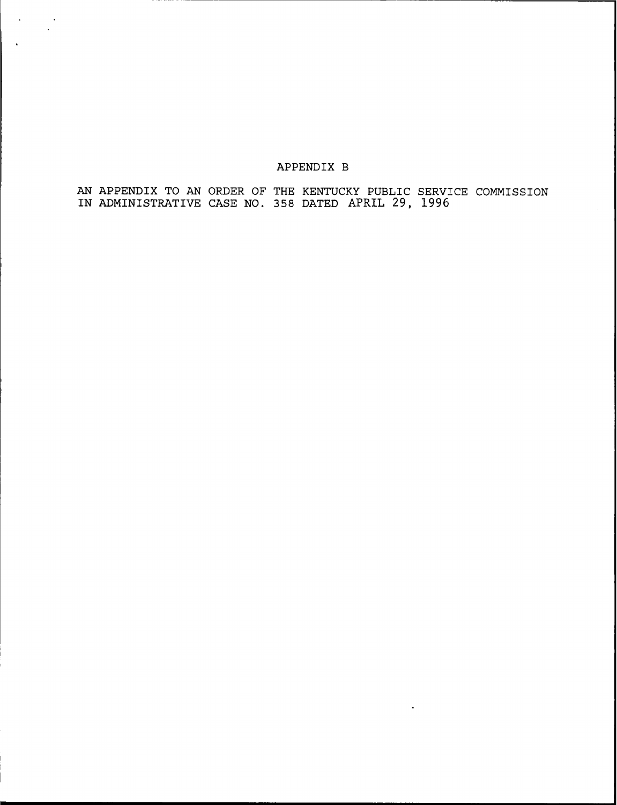## APPENDIX B

 $\sim$  $\sim$   $\sim$ 

> AN APPENDIX TO AN ORDER OF THE KENTUCKY PUBLIC SERVICE COMMISSION IN ADMINISTRATIVE CASE NO. 358 DATED APRIL 29, 1996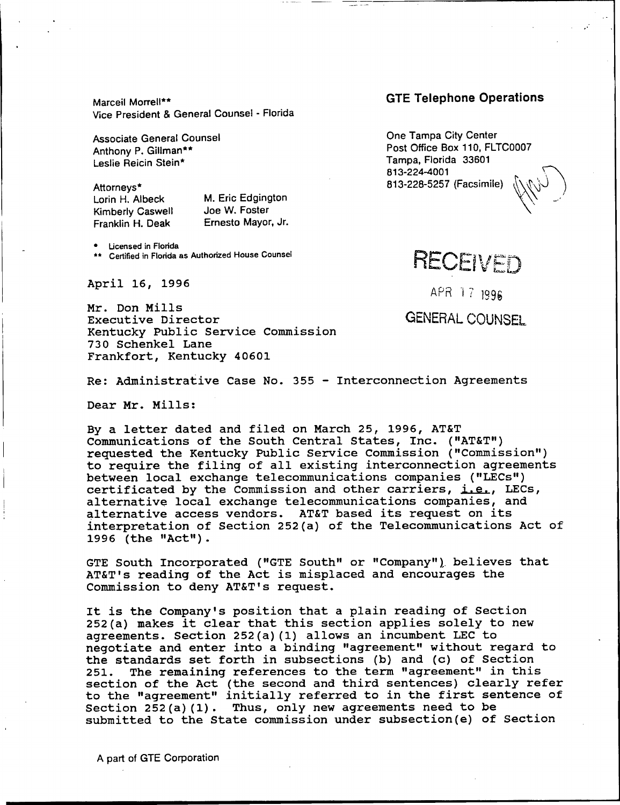Marceil Morrell\*\* Vice President 8 General Counsel - Florida

Associate General Counsel Anthony P. Gillman\*\* Leslie Reicin Stein\*

Attorneys\* Lorin H. Albeck Kimberly Caswell Franklin H. Deak

M. Eric Edgington Joe W. Foster Ernesto Mayor, Jr.

**•** Licensed in Florida

\*\* Certified in Florida as Authorized House Counsel

April 16, 1996

Mr. Don Mills Executive Director Kentucky Public Service Commission 730 Schenkel Lane Frankfort, Kentucky 40601

GTE Telephone Operations

One Tampa City Center Post Office Box 110, FLTC0007 Tampa, Florida 33601 813-224-4001 813-228-5257 (Facsimile)

2

RECEIVED

APR 17 1996

GENERAL COUNSEL

Re: Administrative Case No. 355 — Interconnection Agreements

Dear Mr. Mills:

By a letter dated and filed on March 25, 1996, AT&T Communications of the South Central States, Inc. ("AT&T") requested the Kentucky Public Service Commission ("Commission" ) to require the filing of all existing interconnection agreements between local exchange telecommunications companies ("LECs") certificated by the Commission and other carriers, i.e., LECs, alternative local exchange telecommunications companies, and alternative access vendors. AT&T based its request on its interpretation of Section 252(a) of the Telecommunications Act, of 1996 (the "Act").

GTE South Incorporated ("GTE South" or "Company" ) believes that AT&T's reading of the Act, is misplaced and encourages the Commission to deny AT&T's request.

It is the Company's position that a plain reading of Section 252(a) makes it clear that this section applies solely to new agreements. Section 252(a)(1) allows an incumbent LEC to negotiate and enter into a binding "agreement" without regard to the standards set forth in subsections (b) and (c) of Section<br>251. The remaining references to the term "agreement" in this The remaining references to the term "agreement" in this section of the Act (the second and third sentences) clearly refer to the "agreement" initially referred to in the first sentence of Section 252(a)(1). Thus, only new agreements need to be submitted to the State commission under subsection(e) of Section

A part of GTE Corporation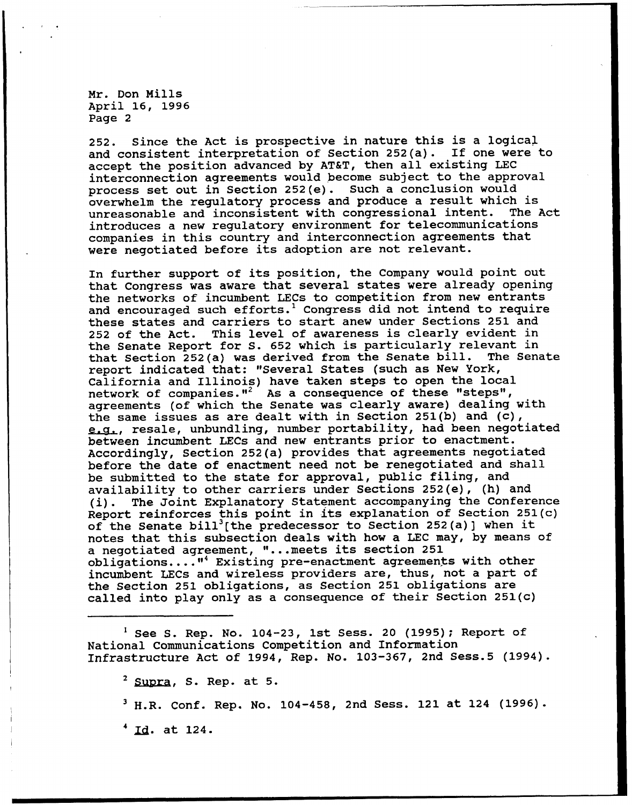252. Since the Act is prospective in nature this is a logical and consistent interpretation of Section 252(a). If one were to accept the position advanced by AT&T, then all existing LEC interconnection agreements would become subject to the approval process set out in Section 252(e). Such a conclusion would overwhelm the regulatory process and produce a result which is<br>unreasonable and inconsistent with congressional intent. The Act unreasonable and inconsistent with congressional intent. introduces a new regulatory environment for telecommunications companies in this country and interconnection agreements that were negotiated before its adoption are not relevant.

In further support of its position, the Company would point out that Congress was aware that several states were already opening the networks of incumbent LECs to competition from new entrants and encouraged such efforts.<sup>1</sup> Congress did not intend to require these states and carriers to start anew under Sections 251 and <sup>252</sup> of the Act. This level of awareness is clearly evident in the Senate Report for S. 652 which is particularly relevant in<br>that Section 252(a) was derived from the Senate bill. The Senate that Section 252(a) was derived from the Senate bill. report indicated that: "Several States (such as New York, California and Illinois) have taken steps to open the local carricting and firms, have caken steps to open the room agreements (of which the Senate was clearly aware) dealing with the same issues as are dealt with in Section 251(b) and (c), e.a., resale, unbundling, number portability, had been negotiated between incumbent LECs and new entrants prior to enactment. Accordingly, Section 252{a) provides that agreements negotiated before the date of enactment need not be renegotiated and shall be submitted to the state for approval, public filing, and availability to other carriers under Sections 252(e), (h) and (i). The Joint Explanatory Statement accompanying the Conference Report reinforces this point in its explanation of Section 251(c) of the Senate bill<sup>3</sup>[the predecessor to Section 252(a)] when it notes that this subsection deals with how a LEC may, by means of a negotiated agreement, "...meets its section 251<br>obligations...."<sup>4</sup> Existing pre-enactment agreements with other incumbent LECs and wireless providers are, thus, not a part of the Section 251 obligations, as Section 251 obligations are called into play only as a consequence of their Section 251(c)

 $<sup>1</sup>$  See S. Rep. No. 104-23, 1st Sess. 20 (1995); Report of</sup> National Communications Competition and Information Infrastructure Act of 1994, Rep. No. 103-367, 2nd Sess.5 (1994).

 $2$  Supra, S. Rep. at 5.

 $3$  H.R. Conf. Rep. No. 104-458, 2nd Sess. 121 at 124 (1996).

 $4$  Id. at 124.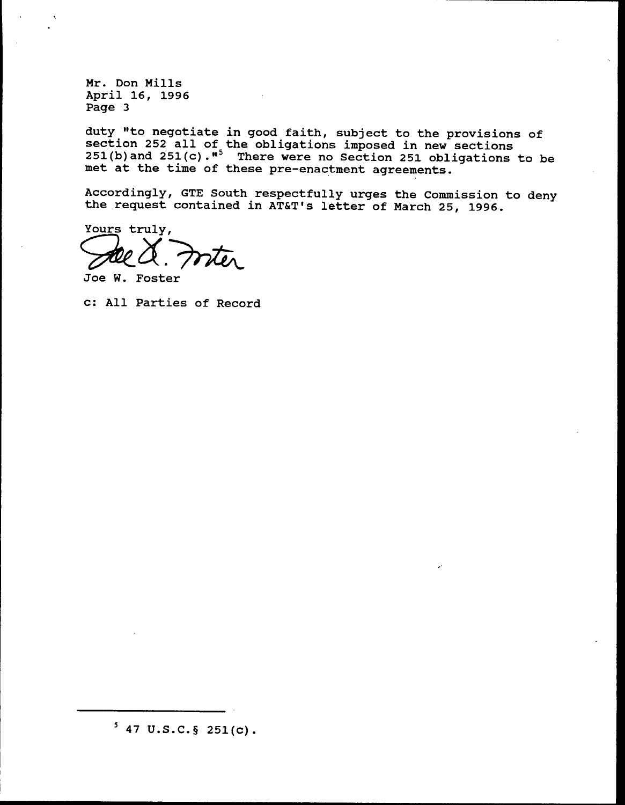duty "to negotiate in good faith, subject to the provisions of section 252 all of the obligations imposed in new sections 251(b)and 251(c)."<sup>5</sup> There were no Section 251 obligations to be met at the time of these pre-enactment agreements.

Accordingly, GTE South respectfully urges the Commission to deny the request contained in AT&T's letter of March 25, 1996.

Yours truly, rter

Joe W. Foster

c: All Parties of Record

 $5$  47 U.S.C. § 251(c).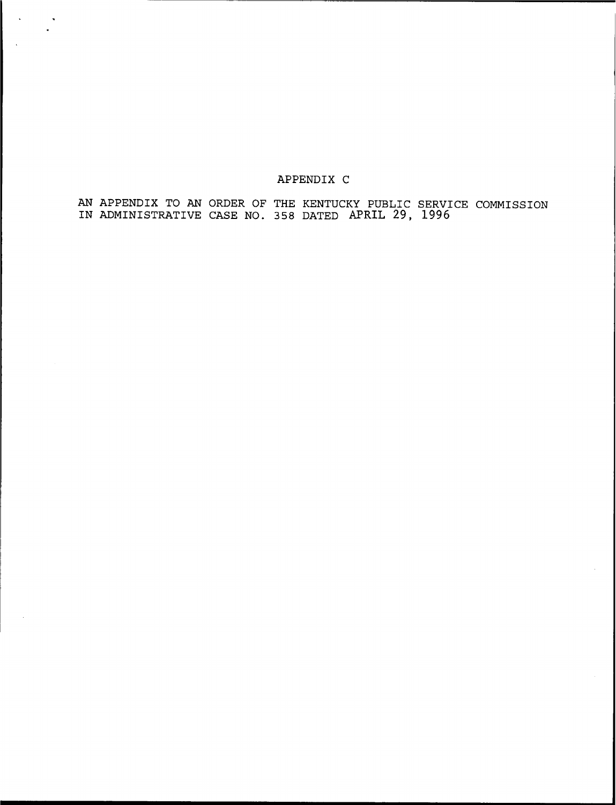## APPENDIX C

 $\sim$ 

 $\sim$  $\overline{a}$ 

> AN APPENDIX TO AN ORDER OF THE KENTUCKY PUBLIC SERVICE COMMISSION IN ADMINISTRATIVE CASE NO. 358 DATED APRIL 29, 1996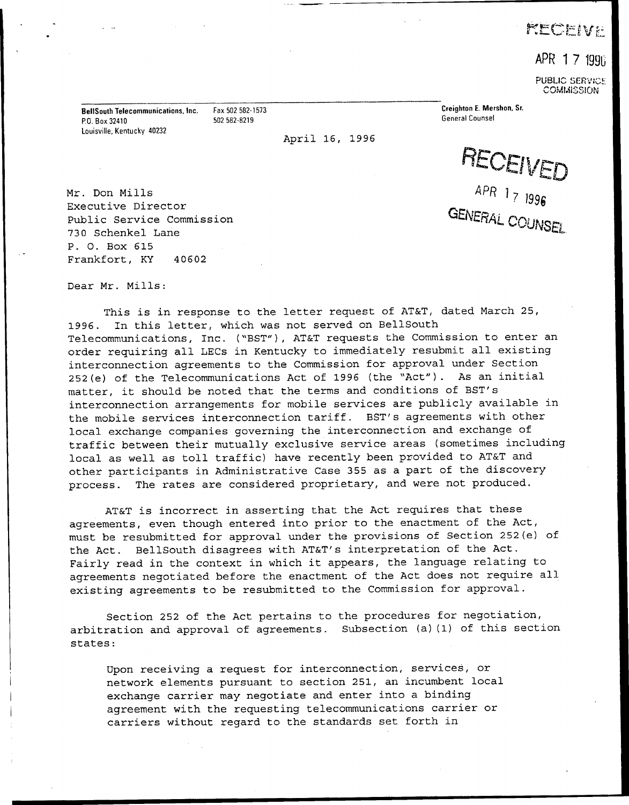# **KECFIVE**

APR 17 1996

PUBLIC SERVICE COMMISSION

BellSouth Telecommunications, Inc. Fax 502 582-1573 P.O. Box 32410 502 582-8219 Louisville, Kentucky 40232

April 16, 1996

Creighton E. Mershon, Sr. General Counsel

RECEIVED 4PR 1<sub>7 1</sub> IVERAL COUP

Mr. Don Mills Executive Director Public Service Commission 730 Schenkel Lane P. 0. Box 615 Frankfort, KY 40602

Dear Mr. Mills:

This is in response to the letter request of AT&T, dated March 25, 1996. In this letter, which was not served on BellSouth Telecommunications, Inc. ("BST"), AT&T requests the Commission to enter an order requiring all LECs in Kentucky to immediately resubmit all existing interconnection agreements to the Commission for approval under Section 252(e) of the Telecommunications Act of 1996 (the "Act") . As an initial matter, it should be noted that the terms and conditions of BST's interconnection arrangements for mobile services are publicly available in the mobile services interconnection tariff. BST's agreements with other local exchange companies governing the interconnection and exchange of traffic between their mutually exclusive service areas (sometimes including local as well as toll traffic) have recently been provided to AT&T and other participants in Administrative Case 355 as a part of the discovery process. The rates are considered proprietary, and were not produced.

AT&T is incorrect in asserting that the Act requires that these agreements, even though entered into prior to the enactment of the Act, must be resubmitted for approval under the provisions of Section 252(e) of the Act. BellSouth disagrees with AT&T's interpretation of the Act. Fairly read in the context in which it appears, the language relating to agreements negotiated before the enactment of the Act does not require all existing agreements to be resubmitted to the Commission for approval.

Section 252 of the Act pertains to the procedures for negotiation, arbitration and approval of agreements. Subsection (a)(1) of this section states:

Upon receiving a request for interconnection, services, or network elements pursuant to section 251, an incumbent local exchange carrier may negotiate and enter into a binding agreement with the requesting telecommunications carrier or carriers without regard to the standards set forth in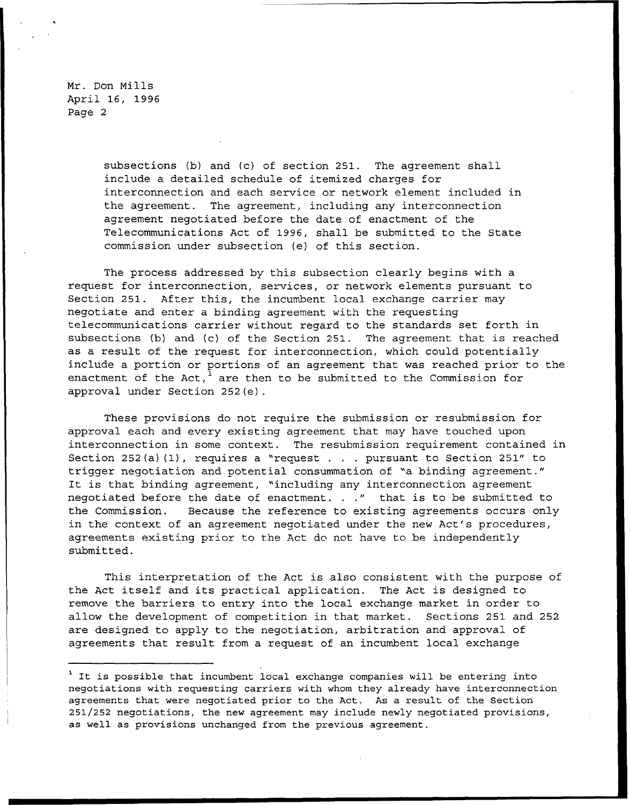> subsections (b) and (c) of section 251. The agreement shall include a detailed schedule of itemized charges for interconnection and each service or network element included in the agreement. The agreement, including any interconnection agreement negotiated before the date of enactment of the Telecommunications Act of 1996, shall be submitted to the State commission under subsection (e) of this section.

The process addressed by this subsection clearly begins with a request for interconnection, services, or network elements pursuant to Section 251. After this, the incumbent local exchange carrier may negotiate and enter a binding agreement with the requesting telecommunications carrier without regard to the standards set forth in subsections (b) and (c) of the Section 251. The agreement that is reached as a result of the request for interconnection, which could potentially include a portion or portions of an agreement that was reached prior to the enactment of the Act,<sup>1</sup> are then to be submitted to the Commission for approval under Section 252(e).

These provisions do not require the submission or resubmission for approval each and every existing agreement that may have touched upon interconnection in some context. The resubmission requirement contained in Section 252(a)(1), requires a "request . . . pursuant to Section 251" to trigger negotiation and potential consummation of "a binding agreement." It is that binding agreement, "including any interconnection agreement negotiated before the date of enactment. . ." that is to be submitted to the Commission. Because the reference to existing agreements occurs only in the context of an agreement negotiated under the new Act's procedures, agreements existing prior to the Act do not have to be independently submitted.

This interpretation of the Act is also consistent with the purpose of the Act itself and its practical application. The Act is designed to remove the barriers to entry into the local exchange market in order to allow the development of competition in that market. Sections 251 and 252 are designed to apply to the negotiation, arbitration and approval of agreements that result from a request of an incumbent local exchange

<sup>&</sup>lt;sup>1</sup> It is possible that incumbent local exchange companies will be entering into negotiations with requesting carriers with whom they already have interconnection agreements that were negotiated prior to the Act. As a result of the Section 251/252 negotiations, the new agreement may include newly negotiated provisions, as well as provisions unchanged from the previous agreement.